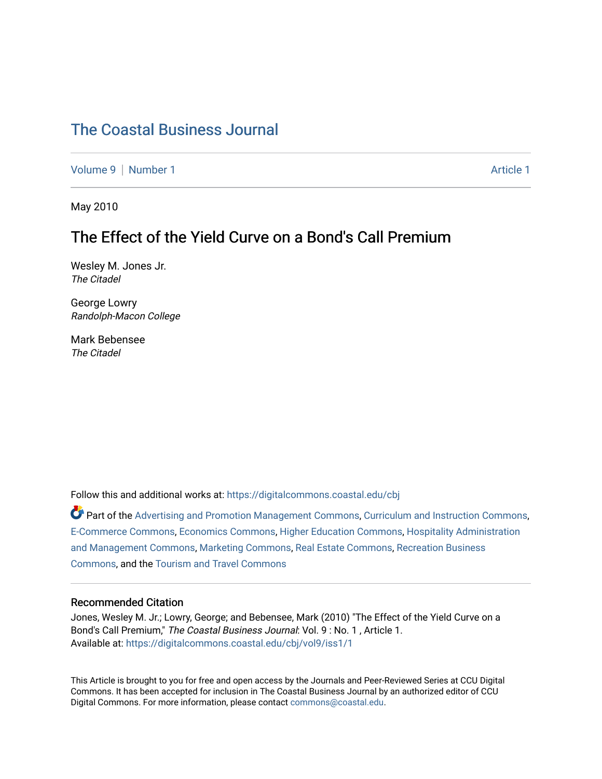# [The Coastal Business Journal](https://digitalcommons.coastal.edu/cbj)

[Volume 9](https://digitalcommons.coastal.edu/cbj/vol9) | [Number 1](https://digitalcommons.coastal.edu/cbj/vol9/iss1) Article 1

May 2010

## The Effect of the Yield Curve on a Bond's Call Premium

Wesley M. Jones Jr. The Citadel

George Lowry Randolph-Macon College

Mark Bebensee The Citadel

Follow this and additional works at: [https://digitalcommons.coastal.edu/cbj](https://digitalcommons.coastal.edu/cbj?utm_source=digitalcommons.coastal.edu%2Fcbj%2Fvol9%2Fiss1%2F1&utm_medium=PDF&utm_campaign=PDFCoverPages) 

Part of the [Advertising and Promotion Management Commons,](http://network.bepress.com/hgg/discipline/626?utm_source=digitalcommons.coastal.edu%2Fcbj%2Fvol9%2Fiss1%2F1&utm_medium=PDF&utm_campaign=PDFCoverPages) [Curriculum and Instruction Commons,](http://network.bepress.com/hgg/discipline/786?utm_source=digitalcommons.coastal.edu%2Fcbj%2Fvol9%2Fiss1%2F1&utm_medium=PDF&utm_campaign=PDFCoverPages) [E-Commerce Commons,](http://network.bepress.com/hgg/discipline/624?utm_source=digitalcommons.coastal.edu%2Fcbj%2Fvol9%2Fiss1%2F1&utm_medium=PDF&utm_campaign=PDFCoverPages) [Economics Commons](http://network.bepress.com/hgg/discipline/340?utm_source=digitalcommons.coastal.edu%2Fcbj%2Fvol9%2Fiss1%2F1&utm_medium=PDF&utm_campaign=PDFCoverPages), [Higher Education Commons](http://network.bepress.com/hgg/discipline/1245?utm_source=digitalcommons.coastal.edu%2Fcbj%2Fvol9%2Fiss1%2F1&utm_medium=PDF&utm_campaign=PDFCoverPages), [Hospitality Administration](http://network.bepress.com/hgg/discipline/632?utm_source=digitalcommons.coastal.edu%2Fcbj%2Fvol9%2Fiss1%2F1&utm_medium=PDF&utm_campaign=PDFCoverPages) [and Management Commons,](http://network.bepress.com/hgg/discipline/632?utm_source=digitalcommons.coastal.edu%2Fcbj%2Fvol9%2Fiss1%2F1&utm_medium=PDF&utm_campaign=PDFCoverPages) [Marketing Commons](http://network.bepress.com/hgg/discipline/638?utm_source=digitalcommons.coastal.edu%2Fcbj%2Fvol9%2Fiss1%2F1&utm_medium=PDF&utm_campaign=PDFCoverPages), [Real Estate Commons](http://network.bepress.com/hgg/discipline/641?utm_source=digitalcommons.coastal.edu%2Fcbj%2Fvol9%2Fiss1%2F1&utm_medium=PDF&utm_campaign=PDFCoverPages), [Recreation Business](http://network.bepress.com/hgg/discipline/1083?utm_source=digitalcommons.coastal.edu%2Fcbj%2Fvol9%2Fiss1%2F1&utm_medium=PDF&utm_campaign=PDFCoverPages) [Commons](http://network.bepress.com/hgg/discipline/1083?utm_source=digitalcommons.coastal.edu%2Fcbj%2Fvol9%2Fiss1%2F1&utm_medium=PDF&utm_campaign=PDFCoverPages), and the [Tourism and Travel Commons](http://network.bepress.com/hgg/discipline/1082?utm_source=digitalcommons.coastal.edu%2Fcbj%2Fvol9%2Fiss1%2F1&utm_medium=PDF&utm_campaign=PDFCoverPages)

#### Recommended Citation

Jones, Wesley M. Jr.; Lowry, George; and Bebensee, Mark (2010) "The Effect of the Yield Curve on a Bond's Call Premium," The Coastal Business Journal: Vol. 9: No. 1, Article 1. Available at: [https://digitalcommons.coastal.edu/cbj/vol9/iss1/1](https://digitalcommons.coastal.edu/cbj/vol9/iss1/1?utm_source=digitalcommons.coastal.edu%2Fcbj%2Fvol9%2Fiss1%2F1&utm_medium=PDF&utm_campaign=PDFCoverPages)

This Article is brought to you for free and open access by the Journals and Peer-Reviewed Series at CCU Digital Commons. It has been accepted for inclusion in The Coastal Business Journal by an authorized editor of CCU Digital Commons. For more information, please contact [commons@coastal.edu](mailto:commons@coastal.edu).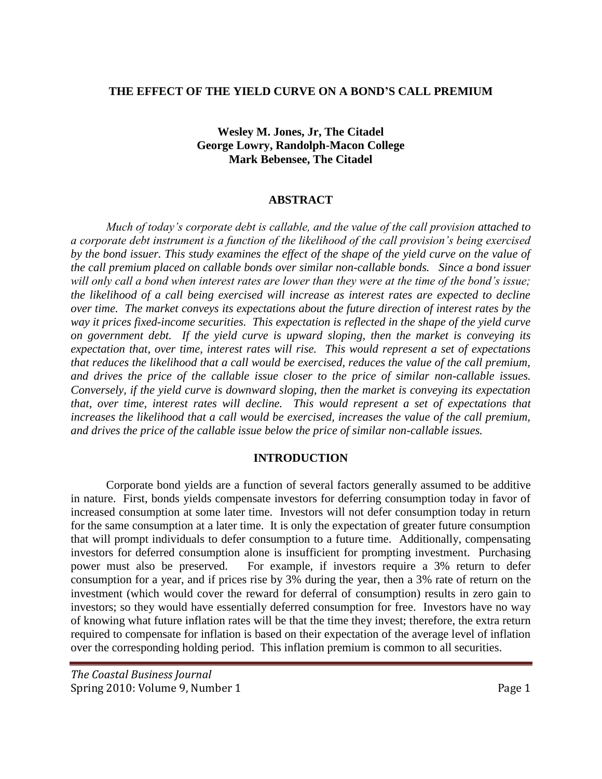#### **THE EFFECT OF THE YIELD CURVE ON A BOND'S CALL PREMIUM**

## **Wesley M. Jones, Jr, The Citadel George Lowry, Randolph-Macon College Mark Bebensee, The Citadel**

### **ABSTRACT**

*Much of today's corporate debt is callable, and the value of the call provision attached to a corporate debt instrument is a function of the likelihood of the call provision's being exercised by the bond issuer. This study examines the effect of the shape of the yield curve on the value of the call premium placed on callable bonds over similar non-callable bonds. Since a bond issuer will only call a bond when interest rates are lower than they were at the time of the bond's issue; the likelihood of a call being exercised will increase as interest rates are expected to decline over time. The market conveys its expectations about the future direction of interest rates by the way it prices fixed-income securities. This expectation is reflected in the shape of the yield curve on government debt. If the yield curve is upward sloping, then the market is conveying its expectation that, over time, interest rates will rise. This would represent a set of expectations that reduces the likelihood that a call would be exercised, reduces the value of the call premium, and drives the price of the callable issue closer to the price of similar non-callable issues. Conversely, if the yield curve is downward sloping, then the market is conveying its expectation that, over time, interest rates will decline. This would represent a set of expectations that increases the likelihood that a call would be exercised, increases the value of the call premium, and drives the price of the callable issue below the price of similar non-callable issues.*

#### **INTRODUCTION**

Corporate bond yields are a function of several factors generally assumed to be additive in nature. First, bonds yields compensate investors for deferring consumption today in favor of increased consumption at some later time. Investors will not defer consumption today in return for the same consumption at a later time. It is only the expectation of greater future consumption that will prompt individuals to defer consumption to a future time. Additionally, compensating investors for deferred consumption alone is insufficient for prompting investment. Purchasing power must also be preserved. For example, if investors require a 3% return to defer consumption for a year, and if prices rise by 3% during the year, then a 3% rate of return on the investment (which would cover the reward for deferral of consumption) results in zero gain to investors; so they would have essentially deferred consumption for free. Investors have no way of knowing what future inflation rates will be that the time they invest; therefore, the extra return required to compensate for inflation is based on their expectation of the average level of inflation over the corresponding holding period. This inflation premium is common to all securities.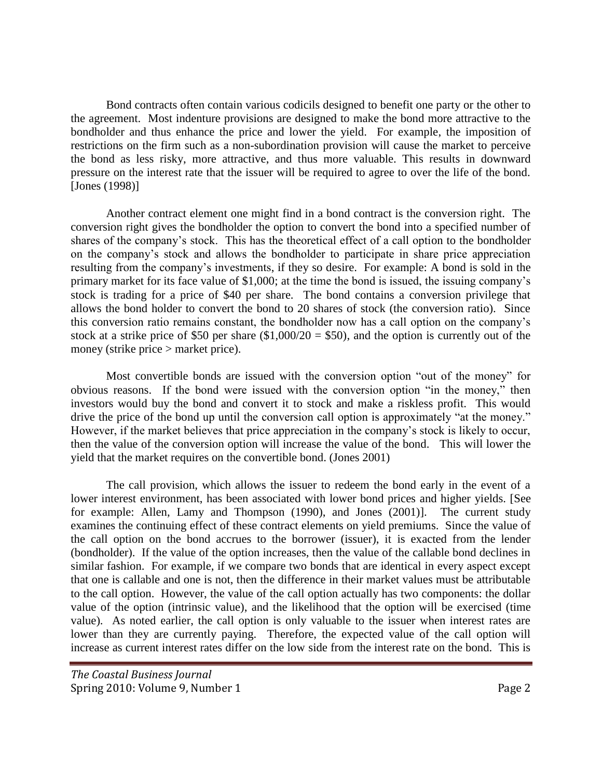Bond contracts often contain various codicils designed to benefit one party or the other to the agreement. Most indenture provisions are designed to make the bond more attractive to the bondholder and thus enhance the price and lower the yield. For example, the imposition of restrictions on the firm such as a non-subordination provision will cause the market to perceive the bond as less risky, more attractive, and thus more valuable. This results in downward pressure on the interest rate that the issuer will be required to agree to over the life of the bond. [Jones (1998)]

Another contract element one might find in a bond contract is the conversion right. The conversion right gives the bondholder the option to convert the bond into a specified number of shares of the company's stock. This has the theoretical effect of a call option to the bondholder on the company's stock and allows the bondholder to participate in share price appreciation resulting from the company's investments, if they so desire. For example: A bond is sold in the primary market for its face value of \$1,000; at the time the bond is issued, the issuing company's stock is trading for a price of \$40 per share. The bond contains a conversion privilege that allows the bond holder to convert the bond to 20 shares of stock (the conversion ratio). Since this conversion ratio remains constant, the bondholder now has a call option on the company's stock at a strike price of \$50 per share  $(\$1,000/20 = \$50)$ , and the option is currently out of the money (strike price > market price).

Most convertible bonds are issued with the conversion option "out of the money" for obvious reasons. If the bond were issued with the conversion option "in the money," then investors would buy the bond and convert it to stock and make a riskless profit. This would drive the price of the bond up until the conversion call option is approximately "at the money." However, if the market believes that price appreciation in the company's stock is likely to occur, then the value of the conversion option will increase the value of the bond. This will lower the yield that the market requires on the convertible bond. (Jones 2001)

The call provision, which allows the issuer to redeem the bond early in the event of a lower interest environment, has been associated with lower bond prices and higher yields. [See for example: Allen, Lamy and Thompson (1990), and Jones (2001)]. The current study examines the continuing effect of these contract elements on yield premiums. Since the value of the call option on the bond accrues to the borrower (issuer), it is exacted from the lender (bondholder). If the value of the option increases, then the value of the callable bond declines in similar fashion. For example, if we compare two bonds that are identical in every aspect except that one is callable and one is not, then the difference in their market values must be attributable to the call option. However, the value of the call option actually has two components: the dollar value of the option (intrinsic value), and the likelihood that the option will be exercised (time value). As noted earlier, the call option is only valuable to the issuer when interest rates are lower than they are currently paying. Therefore, the expected value of the call option will increase as current interest rates differ on the low side from the interest rate on the bond. This is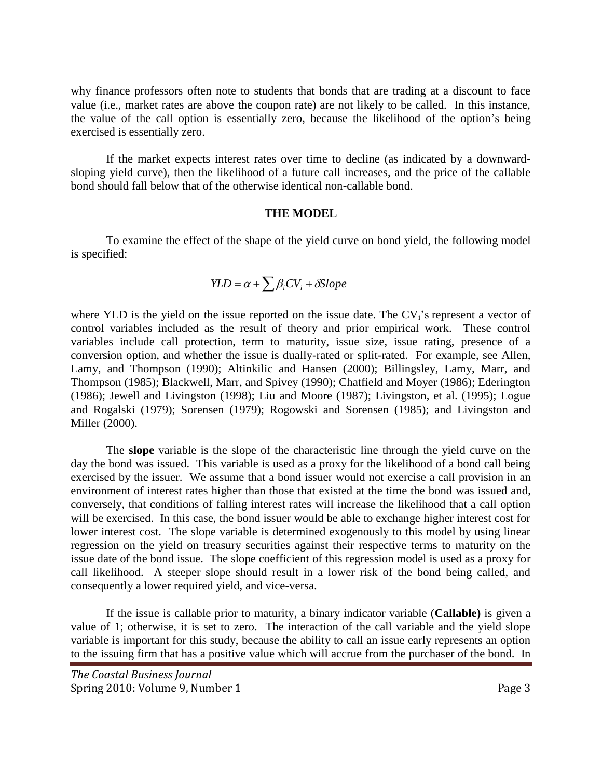why finance professors often note to students that bonds that are trading at a discount to face value (i.e., market rates are above the coupon rate) are not likely to be called. In this instance, the value of the call option is essentially zero, because the likelihood of the option's being exercised is essentially zero.

If the market expects interest rates over time to decline (as indicated by a downwardsloping yield curve), then the likelihood of a future call increases, and the price of the callable bond should fall below that of the otherwise identical non-callable bond.

#### **THE MODEL**

To examine the effect of the shape of the yield curve on bond yield, the following model is specified:

$$
YLD = \alpha + \sum \beta_i CV_i + \delta Slope
$$

where YLD is the yield on the issue reported on the issue date. The  $CV_i$ 's represent a vector of control variables included as the result of theory and prior empirical work. These control variables include call protection, term to maturity, issue size, issue rating, presence of a conversion option, and whether the issue is dually-rated or split-rated. For example, see Allen, Lamy, and Thompson (1990); Altinkilic and Hansen (2000); Billingsley, Lamy, Marr, and Thompson (1985); Blackwell, Marr, and Spivey (1990); Chatfield and Moyer (1986); Ederington (1986); Jewell and Livingston (1998); Liu and Moore (1987); Livingston, et al. (1995); Logue and Rogalski (1979); Sorensen (1979); Rogowski and Sorensen (1985); and Livingston and Miller (2000).

The **slope** variable is the slope of the characteristic line through the yield curve on the day the bond was issued. This variable is used as a proxy for the likelihood of a bond call being exercised by the issuer. We assume that a bond issuer would not exercise a call provision in an environment of interest rates higher than those that existed at the time the bond was issued and, conversely, that conditions of falling interest rates will increase the likelihood that a call option will be exercised. In this case, the bond issuer would be able to exchange higher interest cost for lower interest cost. The slope variable is determined exogenously to this model by using linear regression on the yield on treasury securities against their respective terms to maturity on the issue date of the bond issue. The slope coefficient of this regression model is used as a proxy for call likelihood. A steeper slope should result in a lower risk of the bond being called, and consequently a lower required yield, and vice-versa.

If the issue is callable prior to maturity, a binary indicator variable (**Callable)** is given a value of 1; otherwise, it is set to zero. The interaction of the call variable and the yield slope variable is important for this study, because the ability to call an issue early represents an option to the issuing firm that has a positive value which will accrue from the purchaser of the bond. In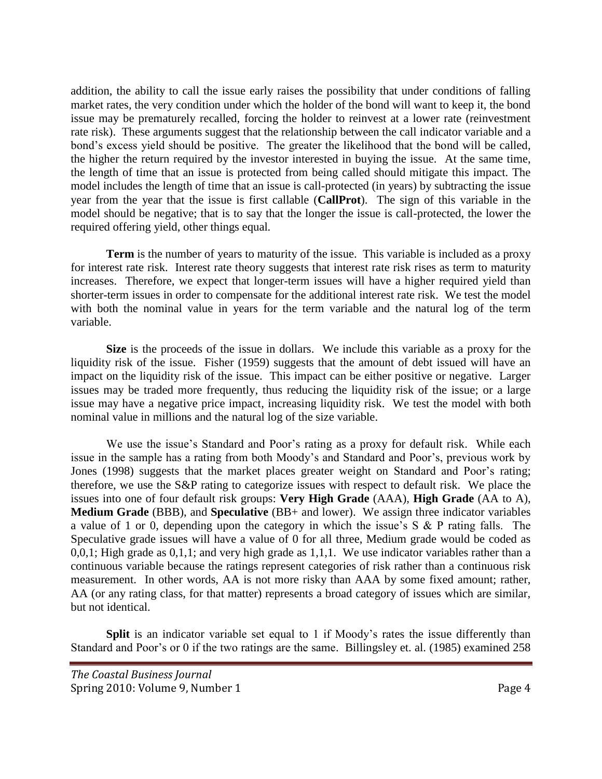addition, the ability to call the issue early raises the possibility that under conditions of falling market rates, the very condition under which the holder of the bond will want to keep it, the bond issue may be prematurely recalled, forcing the holder to reinvest at a lower rate (reinvestment rate risk). These arguments suggest that the relationship between the call indicator variable and a bond's excess yield should be positive. The greater the likelihood that the bond will be called, the higher the return required by the investor interested in buying the issue. At the same time, the length of time that an issue is protected from being called should mitigate this impact. The model includes the length of time that an issue is call-protected (in years) by subtracting the issue year from the year that the issue is first callable (**CallProt**). The sign of this variable in the model should be negative; that is to say that the longer the issue is call-protected, the lower the required offering yield, other things equal*.*

**Term** is the number of years to maturity of the issue. This variable is included as a proxy for interest rate risk. Interest rate theory suggests that interest rate risk rises as term to maturity increases. Therefore, we expect that longer-term issues will have a higher required yield than shorter-term issues in order to compensate for the additional interest rate risk. We test the model with both the nominal value in years for the term variable and the natural log of the term variable.

**Size** is the proceeds of the issue in dollars. We include this variable as a proxy for the liquidity risk of the issue. Fisher (1959) suggests that the amount of debt issued will have an impact on the liquidity risk of the issue. This impact can be either positive or negative. Larger issues may be traded more frequently, thus reducing the liquidity risk of the issue; or a large issue may have a negative price impact, increasing liquidity risk. We test the model with both nominal value in millions and the natural log of the size variable.

We use the issue's Standard and Poor's rating as a proxy for default risk. While each issue in the sample has a rating from both Moody's and Standard and Poor's, previous work by Jones (1998) suggests that the market places greater weight on Standard and Poor's rating; therefore, we use the S&P rating to categorize issues with respect to default risk. We place the issues into one of four default risk groups: **Very High Grade** (AAA), **High Grade** (AA to A), **Medium Grade** (BBB), and **Speculative** (BB+ and lower). We assign three indicator variables a value of 1 or 0, depending upon the category in which the issue's S & P rating falls. The Speculative grade issues will have a value of 0 for all three, Medium grade would be coded as 0,0,1; High grade as 0,1,1; and very high grade as 1,1,1. We use indicator variables rather than a continuous variable because the ratings represent categories of risk rather than a continuous risk measurement. In other words, AA is not more risky than AAA by some fixed amount; rather, AA (or any rating class, for that matter) represents a broad category of issues which are similar, but not identical.

**Split** is an indicator variable set equal to 1 if Moody's rates the issue differently than Standard and Poor's or 0 if the two ratings are the same. Billingsley et. al. (1985) examined 258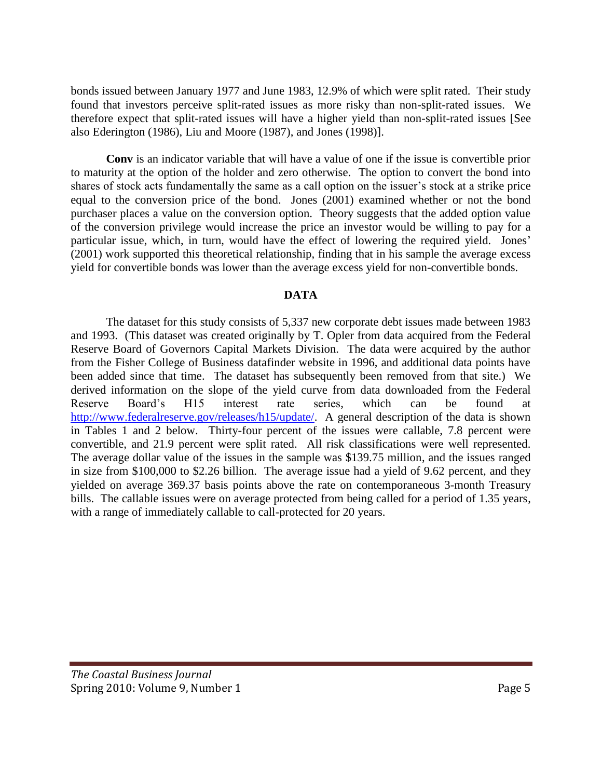bonds issued between January 1977 and June 1983, 12.9% of which were split rated. Their study found that investors perceive split-rated issues as more risky than non-split-rated issues. We therefore expect that split-rated issues will have a higher yield than non-split-rated issues [See also Ederington (1986), Liu and Moore (1987), and Jones (1998)].

**Conv** is an indicator variable that will have a value of one if the issue is convertible prior to maturity at the option of the holder and zero otherwise. The option to convert the bond into shares of stock acts fundamentally the same as a call option on the issuer's stock at a strike price equal to the conversion price of the bond. Jones (2001) examined whether or not the bond purchaser places a value on the conversion option. Theory suggests that the added option value of the conversion privilege would increase the price an investor would be willing to pay for a particular issue, which, in turn, would have the effect of lowering the required yield. Jones' (2001) work supported this theoretical relationship, finding that in his sample the average excess yield for convertible bonds was lower than the average excess yield for non-convertible bonds.

## **DATA**

The dataset for this study consists of 5,337 new corporate debt issues made between 1983 and 1993. (This dataset was created originally by T. Opler from data acquired from the Federal Reserve Board of Governors Capital Markets Division. The data were acquired by the author from the Fisher College of Business datafinder website in 1996, and additional data points have been added since that time. The dataset has subsequently been removed from that site.) We derived information on the slope of the yield curve from data downloaded from the Federal Reserve Board's H15 interest rate series, which can be found at [http://www.federalreserve.gov/releases/h15/update/.](http://www.federalreserve.gov/releases/h15/update/) A general description of the data is shown in Tables 1 and 2 below. Thirty-four percent of the issues were callable, 7.8 percent were convertible, and 21.9 percent were split rated. All risk classifications were well represented. The average dollar value of the issues in the sample was \$139.75 million, and the issues ranged in size from \$100,000 to \$2.26 billion. The average issue had a yield of 9.62 percent, and they yielded on average 369.37 basis points above the rate on contemporaneous 3-month Treasury bills. The callable issues were on average protected from being called for a period of 1.35 years, with a range of immediately callable to call-protected for 20 years.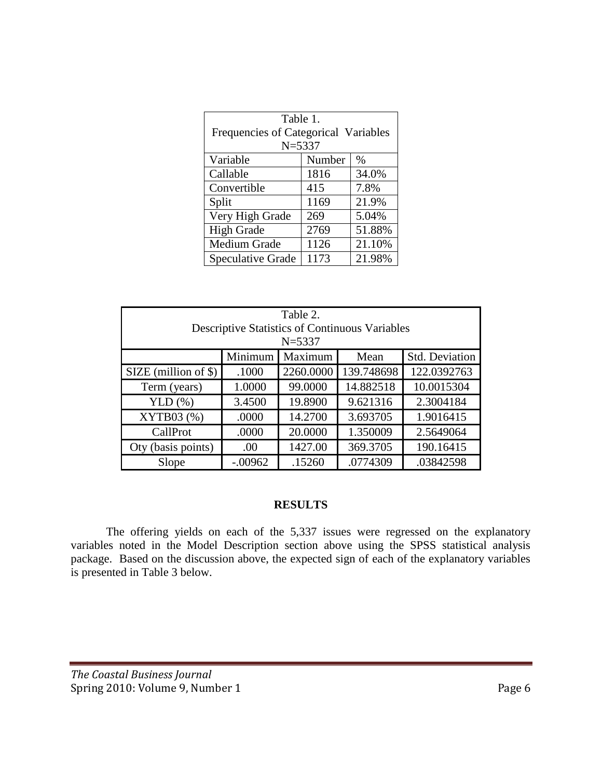| Table 1.<br>Frequencies of Categorical Variables<br>$N = 5337$ |        |        |  |  |  |  |
|----------------------------------------------------------------|--------|--------|--|--|--|--|
| Variable                                                       | Number | $\%$   |  |  |  |  |
| Callable                                                       | 1816   | 34.0%  |  |  |  |  |
| Convertible                                                    | 415    | 7.8%   |  |  |  |  |
| Split                                                          | 1169   | 21.9%  |  |  |  |  |
| Very High Grade                                                | 269    | 5.04%  |  |  |  |  |
| <b>High Grade</b>                                              | 2769   | 51.88% |  |  |  |  |
| Medium Grade                                                   | 1126   | 21.10% |  |  |  |  |
| Speculative Grade                                              | 1173   | 21.98% |  |  |  |  |

| Table 2.                                                            |           |           |            |                       |  |  |  |  |
|---------------------------------------------------------------------|-----------|-----------|------------|-----------------------|--|--|--|--|
| <b>Descriptive Statistics of Continuous Variables</b><br>$N = 5337$ |           |           |            |                       |  |  |  |  |
|                                                                     | Minimum   | Maximum   | Mean       | <b>Std. Deviation</b> |  |  |  |  |
| $SIZE$ (million of \$)                                              | .1000     | 2260.0000 | 139.748698 | 122.0392763           |  |  |  |  |
| Term (years)                                                        | 1.0000    | 99.0000   | 14.882518  | 10.0015304            |  |  |  |  |
| YLD $(\%)$                                                          | 3.4500    | 19.8900   | 9.621316   | 2.3004184             |  |  |  |  |
| XYTB03 (%)                                                          | .0000     | 14.2700   | 3.693705   | 1.9016415             |  |  |  |  |
| CallProt                                                            | .0000     | 20.0000   | 1.350009   | 2.5649064             |  |  |  |  |
| Oty (basis points)                                                  | .00       | 1427.00   | 369.3705   | 190.16415             |  |  |  |  |
| Slope                                                               | $-.00962$ | .15260    | .0774309   | .03842598             |  |  |  |  |

#### **RESULTS**

The offering yields on each of the 5,337 issues were regressed on the explanatory variables noted in the Model Description section above using the SPSS statistical analysis package. Based on the discussion above, the expected sign of each of the explanatory variables is presented in Table 3 below.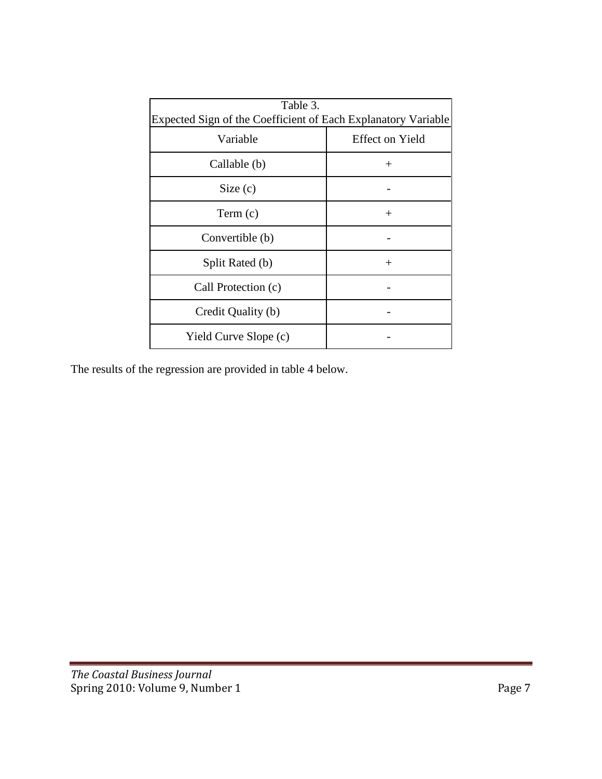| Table 3.<br>Expected Sign of the Coefficient of Each Explanatory Variable |                        |  |  |  |  |
|---------------------------------------------------------------------------|------------------------|--|--|--|--|
| Variable                                                                  | <b>Effect on Yield</b> |  |  |  |  |
| Callable (b)                                                              | $+$                    |  |  |  |  |
| Size(c)                                                                   |                        |  |  |  |  |
| Term(c)                                                                   | $^{+}$                 |  |  |  |  |
| Convertible (b)                                                           |                        |  |  |  |  |
| Split Rated (b)                                                           | $^{+}$                 |  |  |  |  |
| Call Protection (c)                                                       |                        |  |  |  |  |
| Credit Quality (b)                                                        |                        |  |  |  |  |
| Yield Curve Slope (c)                                                     |                        |  |  |  |  |

The results of the regression are provided in table 4 below.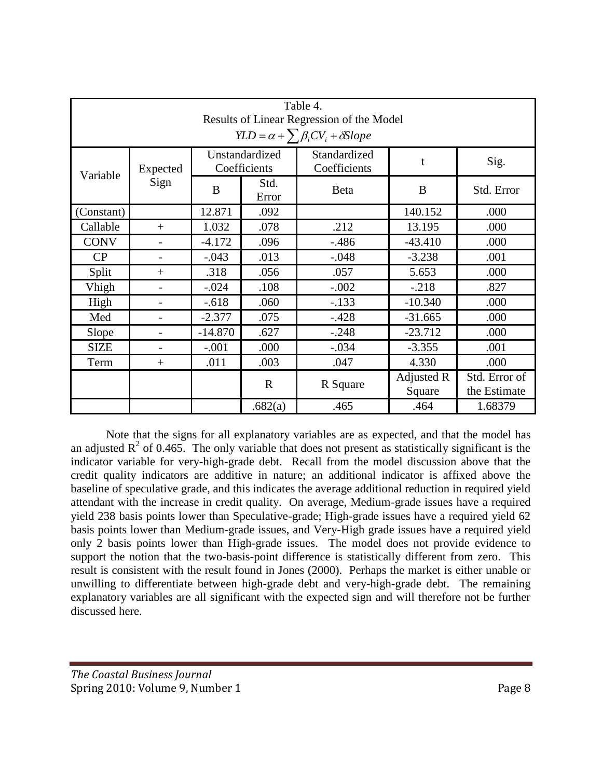| Table 4.                                                                                       |                          |           |                                |                              |                      |                               |  |  |  |
|------------------------------------------------------------------------------------------------|--------------------------|-----------|--------------------------------|------------------------------|----------------------|-------------------------------|--|--|--|
| Results of Linear Regression of the Model<br>$YLD = \alpha + \sum \beta_i CV_i + \delta Slope$ |                          |           |                                |                              |                      |                               |  |  |  |
| Variable                                                                                       | Expected                 |           | Unstandardized<br>Coefficients | Standardized<br>Coefficients | t                    | Sig.                          |  |  |  |
|                                                                                                | Sign                     | B         | Std.<br>Error                  | <b>Beta</b>                  | B                    | Std. Error                    |  |  |  |
| (Constant)                                                                                     |                          | 12.871    | .092                           |                              | 140.152              | .000                          |  |  |  |
| Callable                                                                                       | $+$                      | 1.032     | .078                           | .212                         | 13.195               | .000                          |  |  |  |
| <b>CONV</b>                                                                                    | $\overline{\phantom{0}}$ | $-4.172$  | .096                           | $-.486$                      | $-43.410$            | .000                          |  |  |  |
| CP                                                                                             | $\overline{\phantom{0}}$ | $-.043$   | .013                           | $-.048$                      | $-3.238$             | .001                          |  |  |  |
| Split                                                                                          | $+$                      | .318      | .056                           | .057                         | 5.653                | .000                          |  |  |  |
| Vhigh                                                                                          | $\overline{\phantom{0}}$ | $-.024$   | .108                           | $-.002$                      | $-.218$              | .827                          |  |  |  |
| High                                                                                           |                          | $-.618$   | .060                           | $-.133$                      | $-10.340$            | .000                          |  |  |  |
| Med                                                                                            | $\overline{\phantom{0}}$ | $-2.377$  | .075                           | $-.428$                      | $-31.665$            | .000                          |  |  |  |
| Slope                                                                                          | $\overline{a}$           | $-14.870$ | .627                           | $-.248$                      | $-23.712$            | .000                          |  |  |  |
| <b>SIZE</b>                                                                                    | $\overline{\phantom{0}}$ | $-.001$   | .000                           | $-.034$                      | $-3.355$             | .001                          |  |  |  |
| Term                                                                                           | $^{+}$                   | .011      | .003                           | .047                         | 4.330                | .000                          |  |  |  |
|                                                                                                |                          |           | $\mathbf R$                    | R Square                     | Adjusted R<br>Square | Std. Error of<br>the Estimate |  |  |  |
|                                                                                                |                          |           | .682(a)                        | .465                         | .464                 | 1.68379                       |  |  |  |

Note that the signs for all explanatory variables are as expected, and that the model has an adjusted  $R^2$  of 0.465. The only variable that does not present as statistically significant is the indicator variable for very-high-grade debt. Recall from the model discussion above that the credit quality indicators are additive in nature; an additional indicator is affixed above the baseline of speculative grade, and this indicates the average additional reduction in required yield attendant with the increase in credit quality. On average, Medium-grade issues have a required yield 238 basis points lower than Speculative-grade; High-grade issues have a required yield 62 basis points lower than Medium-grade issues, and Very-High grade issues have a required yield only 2 basis points lower than High-grade issues. The model does not provide evidence to support the notion that the two-basis-point difference is statistically different from zero. This result is consistent with the result found in Jones (2000). Perhaps the market is either unable or unwilling to differentiate between high-grade debt and very-high-grade debt. The remaining explanatory variables are all significant with the expected sign and will therefore not be further discussed here.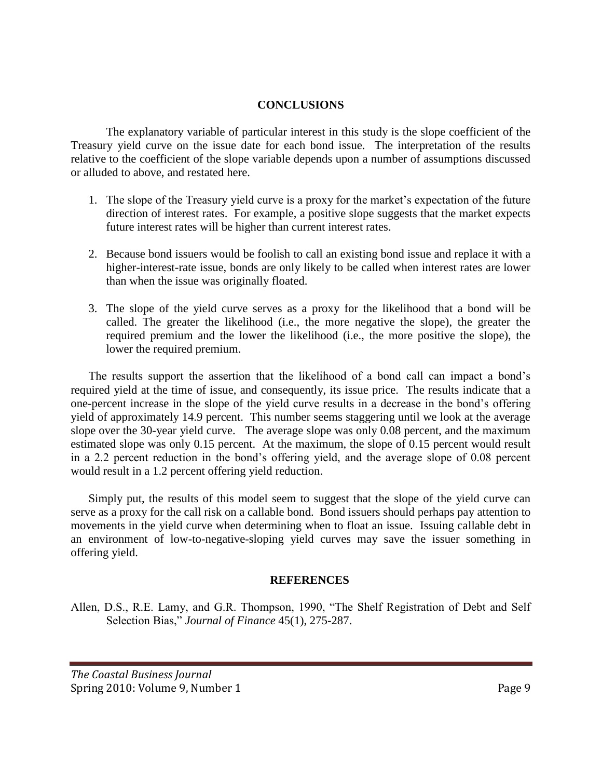## **CONCLUSIONS**

The explanatory variable of particular interest in this study is the slope coefficient of the Treasury yield curve on the issue date for each bond issue. The interpretation of the results relative to the coefficient of the slope variable depends upon a number of assumptions discussed or alluded to above, and restated here.

- 1. The slope of the Treasury yield curve is a proxy for the market's expectation of the future direction of interest rates. For example, a positive slope suggests that the market expects future interest rates will be higher than current interest rates.
- 2. Because bond issuers would be foolish to call an existing bond issue and replace it with a higher-interest-rate issue, bonds are only likely to be called when interest rates are lower than when the issue was originally floated.
- 3. The slope of the yield curve serves as a proxy for the likelihood that a bond will be called. The greater the likelihood (i.e., the more negative the slope), the greater the required premium and the lower the likelihood (i.e., the more positive the slope), the lower the required premium.

The results support the assertion that the likelihood of a bond call can impact a bond's required yield at the time of issue, and consequently, its issue price. The results indicate that a one-percent increase in the slope of the yield curve results in a decrease in the bond's offering yield of approximately 14.9 percent. This number seems staggering until we look at the average slope over the 30-year yield curve. The average slope was only 0.08 percent, and the maximum estimated slope was only 0.15 percent. At the maximum, the slope of 0.15 percent would result in a 2.2 percent reduction in the bond's offering yield, and the average slope of 0.08 percent would result in a 1.2 percent offering yield reduction.

Simply put, the results of this model seem to suggest that the slope of the yield curve can serve as a proxy for the call risk on a callable bond. Bond issuers should perhaps pay attention to movements in the yield curve when determining when to float an issue. Issuing callable debt in an environment of low-to-negative-sloping yield curves may save the issuer something in offering yield.

#### **REFERENCES**

Allen, D.S., R.E. Lamy, and G.R. Thompson, 1990, "The Shelf Registration of Debt and Self Selection Bias," *Journal of Finance* 45(1), 275-287.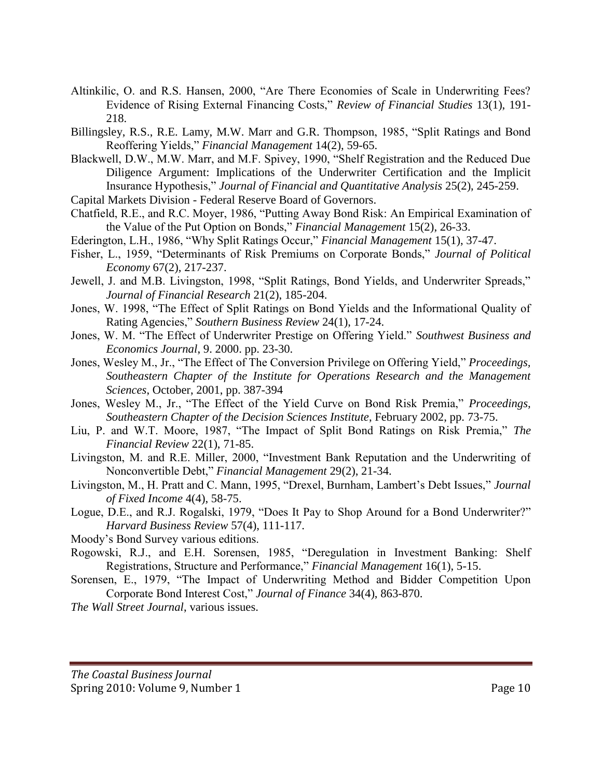- Altinkilic, O. and R.S. Hansen, 2000, "Are There Economies of Scale in Underwriting Fees? Evidence of Rising External Financing Costs," *Review of Financial Studies* 13(1), 191- 218.
- Billingsley, R.S., R.E. Lamy, M.W. Marr and G.R. Thompson, 1985, "Split Ratings and Bond Reoffering Yields," *Financial Management* 14(2), 59-65.
- Blackwell, D.W., M.W. Marr, and M.F. Spivey, 1990, "Shelf Registration and the Reduced Due Diligence Argument: Implications of the Underwriter Certification and the Implicit Insurance Hypothesis," *Journal of Financial and Quantitative Analysis* 25(2), 245-259.
- Capital Markets Division Federal Reserve Board of Governors.
- Chatfield, R.E., and R.C. Moyer, 1986, "Putting Away Bond Risk: An Empirical Examination of the Value of the Put Option on Bonds," *Financial Management* 15(2), 26-33.
- Ederington, L.H., 1986, "Why Split Ratings Occur," *Financial Management* 15(1), 37-47.
- Fisher, L., 1959, "Determinants of Risk Premiums on Corporate Bonds," *Journal of Political Economy* 67(2), 217-237.
- Jewell, J. and M.B. Livingston, 1998, "Split Ratings, Bond Yields, and Underwriter Spreads," *Journal of Financial Research* 21(2), 185-204.
- Jones, W. 1998, "The Effect of Split Ratings on Bond Yields and the Informational Quality of Rating Agencies," *Southern Business Review* 24(1), 17-24.
- Jones, W. M. "The Effect of Underwriter Prestige on Offering Yield." *Southwest Business and Economics Journal*, 9. 2000. pp. 23-30.
- Jones, Wesley M., Jr., "The Effect of The Conversion Privilege on Offering Yield," *Proceedings, Southeastern Chapter of the Institute for Operations Research and the Management Sciences*, October, 2001, pp. 387-394
- Jones, Wesley M., Jr., "The Effect of the Yield Curve on Bond Risk Premia," *Proceedings, Southeastern Chapter of the Decision Sciences Institute*, February 2002, pp. 73-75.
- Liu, P. and W.T. Moore, 1987, "The Impact of Split Bond Ratings on Risk Premia," *The Financial Review* 22(1), 71-85.
- Livingston, M. and R.E. Miller, 2000, "Investment Bank Reputation and the Underwriting of Nonconvertible Debt," *Financial Management* 29(2), 21-34.
- Livingston, M., H. Pratt and C. Mann, 1995, "Drexel, Burnham, Lambert's Debt Issues," *Journal of Fixed Income* 4(4), 58-75.
- Logue, D.E., and R.J. Rogalski, 1979, "Does It Pay to Shop Around for a Bond Underwriter?" *Harvard Business Review* 57(4), 111-117.
- Moody's Bond Survey various editions.
- Rogowski, R.J., and E.H. Sorensen, 1985, "Deregulation in Investment Banking: Shelf Registrations, Structure and Performance," *Financial Management* 16(1), 5-15.
- Sorensen, E., 1979, "The Impact of Underwriting Method and Bidder Competition Upon Corporate Bond Interest Cost," *Journal of Finance* 34(4), 863-870.
- *The Wall Street Journal*, various issues.